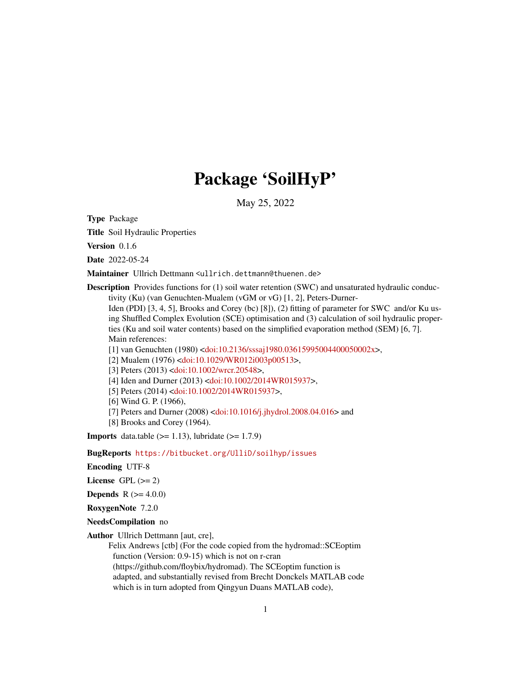# Package 'SoilHyP'

May 25, 2022

<span id="page-0-0"></span>Type Package

Title Soil Hydraulic Properties

Version 0.1.6

Date 2022-05-24

Maintainer Ullrich Dettmann <ullrich.dettmann@thuenen.de>

**Description** Provides functions for (1) soil water retention (SWC) and unsaturated hydraulic conductivity (Ku) (van Genuchten-Mualem (vGM or vG) [1, 2], Peters-Durner-

Iden (PDI) [3, 4, 5], Brooks and Corey (bc) [8]), (2) fitting of parameter for SWC and/or Ku using Shuffled Complex Evolution (SCE) optimisation and (3) calculation of soil hydraulic properties (Ku and soil water contents) based on the simplified evaporation method (SEM) [6, 7]. Main references:

[1] van Genuchten (1980) [<doi:10.2136/sssaj1980.03615995004400050002x>](https://doi.org/10.2136/sssaj1980.03615995004400050002x),

[2] Mualem (1976) [<doi:10.1029/WR012i003p00513>](https://doi.org/10.1029/WR012i003p00513),

[3] Peters (2013) [<doi:10.1002/wrcr.20548>](https://doi.org/10.1002/wrcr.20548),

[4] Iden and Durner (2013) [<doi:10.1002/2014WR015937>](https://doi.org/10.1002/2014WR015937),

[5] Peters (2014) [<doi:10.1002/2014WR015937>](https://doi.org/10.1002/2014WR015937),

[6] Wind G. P. (1966),

[7] Peters and Durner (2008) [<doi:10.1016/j.jhydrol.2008.04.016>](https://doi.org/10.1016/j.jhydrol.2008.04.016) and

[8] Brooks and Corey (1964).

**Imports** data.table  $(>= 1.13)$ , lubridate  $(>= 1.7.9)$ 

BugReports <https://bitbucket.org/UlliD/soilhyp/issues>

Encoding UTF-8

License GPL  $(>= 2)$ 

**Depends** R  $(>= 4.0.0)$ 

RoxygenNote 7.2.0

NeedsCompilation no

Author Ullrich Dettmann [aut, cre],

Felix Andrews [ctb] (For the code copied from the hydromad::SCEoptim function (Version: 0.9-15) which is not on r-cran (https://github.com/floybix/hydromad). The SCEoptim function is adapted, and substantially revised from Brecht Donckels MATLAB code which is in turn adopted from Qingyun Duans MATLAB code),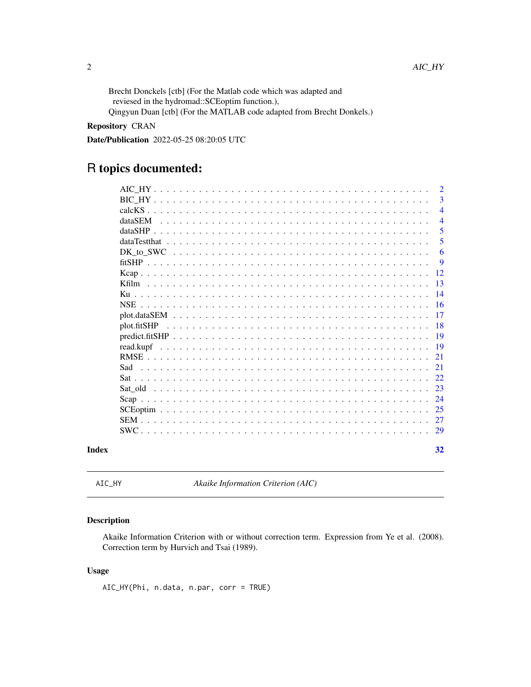<span id="page-1-0"></span>Brecht Donckels [ctb] (For the Matlab code which was adapted and reviesed in the hydromad::SCEoptim function.), Qingyun Duan [ctb] (For the MATLAB code adapted from Brecht Donkels.)

# Repository CRAN

Date/Publication 2022-05-25 08:20:05 UTC

# R topics documented:

| Index       |  |  |  |  |  |  |  |  |  |  |  |  |  |  |  |  |  | 32             |
|-------------|--|--|--|--|--|--|--|--|--|--|--|--|--|--|--|--|--|----------------|
|             |  |  |  |  |  |  |  |  |  |  |  |  |  |  |  |  |  | 29             |
|             |  |  |  |  |  |  |  |  |  |  |  |  |  |  |  |  |  | 27             |
|             |  |  |  |  |  |  |  |  |  |  |  |  |  |  |  |  |  | 25             |
|             |  |  |  |  |  |  |  |  |  |  |  |  |  |  |  |  |  | 24             |
|             |  |  |  |  |  |  |  |  |  |  |  |  |  |  |  |  |  | 23             |
|             |  |  |  |  |  |  |  |  |  |  |  |  |  |  |  |  |  | 22.            |
| Sad         |  |  |  |  |  |  |  |  |  |  |  |  |  |  |  |  |  | 21             |
|             |  |  |  |  |  |  |  |  |  |  |  |  |  |  |  |  |  | 21             |
| read.kupf   |  |  |  |  |  |  |  |  |  |  |  |  |  |  |  |  |  | 19             |
|             |  |  |  |  |  |  |  |  |  |  |  |  |  |  |  |  |  | <b>19</b>      |
| plot.fitSHP |  |  |  |  |  |  |  |  |  |  |  |  |  |  |  |  |  | 18             |
|             |  |  |  |  |  |  |  |  |  |  |  |  |  |  |  |  |  | 17             |
|             |  |  |  |  |  |  |  |  |  |  |  |  |  |  |  |  |  | 16             |
|             |  |  |  |  |  |  |  |  |  |  |  |  |  |  |  |  |  | 14             |
|             |  |  |  |  |  |  |  |  |  |  |  |  |  |  |  |  |  | 12<br>13       |
|             |  |  |  |  |  |  |  |  |  |  |  |  |  |  |  |  |  | 9              |
|             |  |  |  |  |  |  |  |  |  |  |  |  |  |  |  |  |  | 6              |
|             |  |  |  |  |  |  |  |  |  |  |  |  |  |  |  |  |  | 5              |
|             |  |  |  |  |  |  |  |  |  |  |  |  |  |  |  |  |  | 5              |
| dataSEM     |  |  |  |  |  |  |  |  |  |  |  |  |  |  |  |  |  | 4              |
|             |  |  |  |  |  |  |  |  |  |  |  |  |  |  |  |  |  | $\overline{4}$ |
|             |  |  |  |  |  |  |  |  |  |  |  |  |  |  |  |  |  | 3              |
|             |  |  |  |  |  |  |  |  |  |  |  |  |  |  |  |  |  | $\overline{2}$ |

AIC\_HY *Akaike Information Criterion (AIC)*

# Description

Akaike Information Criterion with or without correction term. Expression from Ye et al. (2008). Correction term by Hurvich and Tsai (1989).

# Usage

AIC\_HY(Phi, n.data, n.par, corr = TRUE)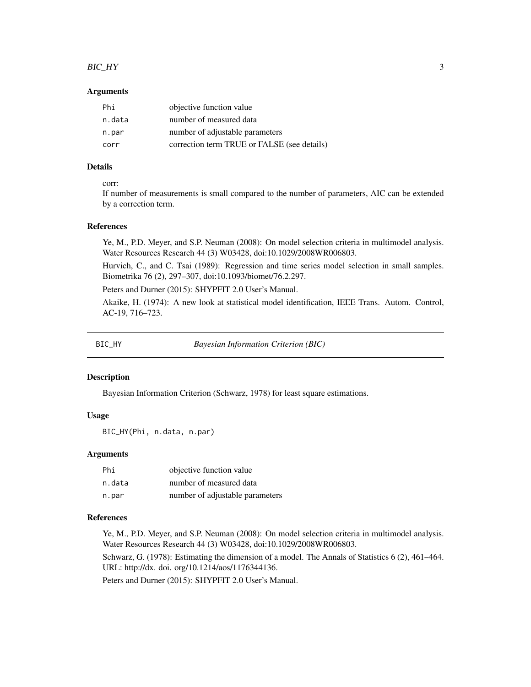#### <span id="page-2-0"></span> $BIC_HY$  3

#### Arguments

| Phi    | objective function value                    |
|--------|---------------------------------------------|
| n.data | number of measured data                     |
| n.par  | number of adjustable parameters             |
| corr   | correction term TRUE or FALSE (see details) |

# Details

#### corr:

If number of measurements is small compared to the number of parameters, AIC can be extended by a correction term.

#### References

Ye, M., P.D. Meyer, and S.P. Neuman (2008): On model selection criteria in multimodel analysis. Water Resources Research 44 (3) W03428, doi:10.1029/2008WR006803.

Hurvich, C., and C. Tsai (1989): Regression and time series model selection in small samples. Biometrika 76 (2), 297–307, doi:10.1093/biomet/76.2.297.

Peters and Durner (2015): SHYPFIT 2.0 User's Manual.

Akaike, H. (1974): A new look at statistical model identification, IEEE Trans. Autom. Control, AC-19, 716–723.

BIC\_HY *Bayesian Information Criterion (BIC)*

#### Description

Bayesian Information Criterion (Schwarz, 1978) for least square estimations.

#### Usage

BIC\_HY(Phi, n.data, n.par)

### Arguments

| Phi    | objective function value        |
|--------|---------------------------------|
| n.data | number of measured data         |
| n.par  | number of adjustable parameters |

#### References

Ye, M., P.D. Meyer, and S.P. Neuman (2008): On model selection criteria in multimodel analysis. Water Resources Research 44 (3) W03428, doi:10.1029/2008WR006803.

Schwarz, G. (1978): Estimating the dimension of a model. The Annals of Statistics 6 (2), 461–464. URL: http://dx. doi. org/10.1214/aos/1176344136.

Peters and Durner (2015): SHYPFIT 2.0 User's Manual.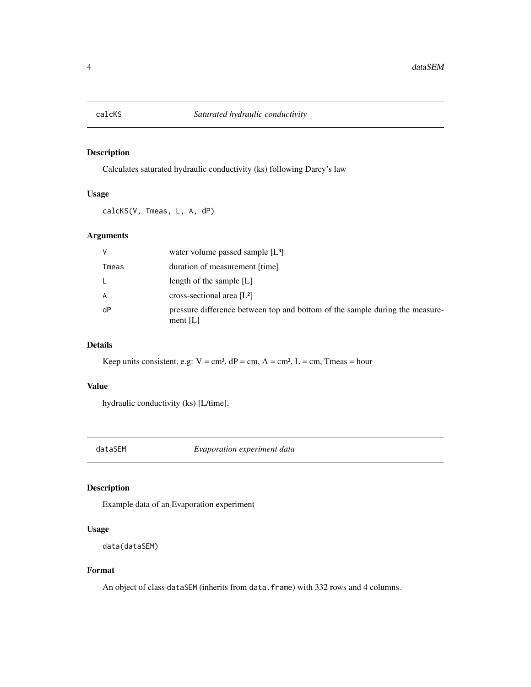<span id="page-3-0"></span>

# Description

Calculates saturated hydraulic conductivity (ks) following Darcy's law

#### Usage

calcKS(V, Tmeas, L, A, dP)

# Arguments

| $\vee$ | water volume passed sample $[L^3]$                                                         |
|--------|--------------------------------------------------------------------------------------------|
| Tmeas  | duration of measurement [time]                                                             |
|        | length of the sample $[L]$                                                                 |
| A      | cross-sectional area $[L^2]$                                                               |
| dP     | pressure difference between top and bottom of the sample during the measure-<br>ment $[L]$ |

# Details

Keep units consistent, e.g:  $V = cm^3$ ,  $dP = cm$ ,  $A = cm^2$ ,  $L = cm$ , Tmeas = hour

# Value

hydraulic conductivity (ks) [L/time].

dataSEM *Evaporation experiment data*

# Description

Example data of an Evaporation experiment

# Usage

```
data(dataSEM)
```
# Format

An object of class dataSEM (inherits from data.frame) with 332 rows and 4 columns.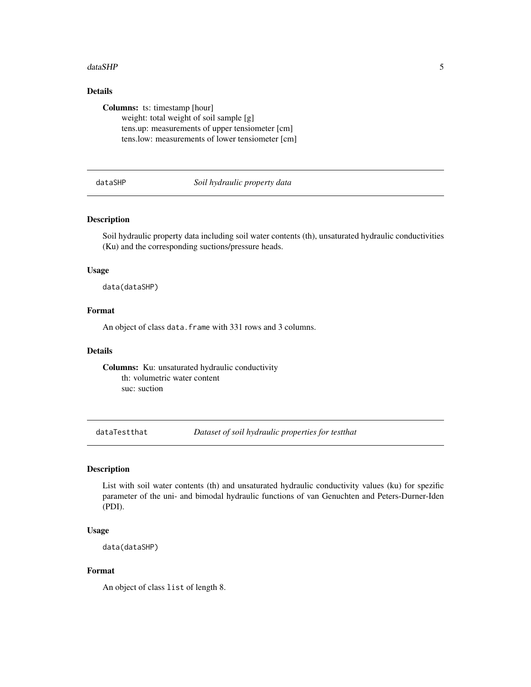#### <span id="page-4-0"></span>dataSHP 5

# Details

Columns: ts: timestamp [hour] weight: total weight of soil sample [g] tens.up: measurements of upper tensiometer [cm] tens.low: measurements of lower tensiometer [cm]

dataSHP *Soil hydraulic property data*

# Description

Soil hydraulic property data including soil water contents (th), unsaturated hydraulic conductivities (Ku) and the corresponding suctions/pressure heads.

#### Usage

data(dataSHP)

# Format

An object of class data. frame with 331 rows and 3 columns.

#### Details

Columns: Ku: unsaturated hydraulic conductivity th: volumetric water content suc: suction

dataTestthat *Dataset of soil hydraulic properties for testthat*

#### Description

List with soil water contents (th) and unsaturated hydraulic conductivity values (ku) for spezific parameter of the uni- and bimodal hydraulic functions of van Genuchten and Peters-Durner-Iden (PDI).

#### Usage

data(dataSHP)

#### Format

An object of class list of length 8.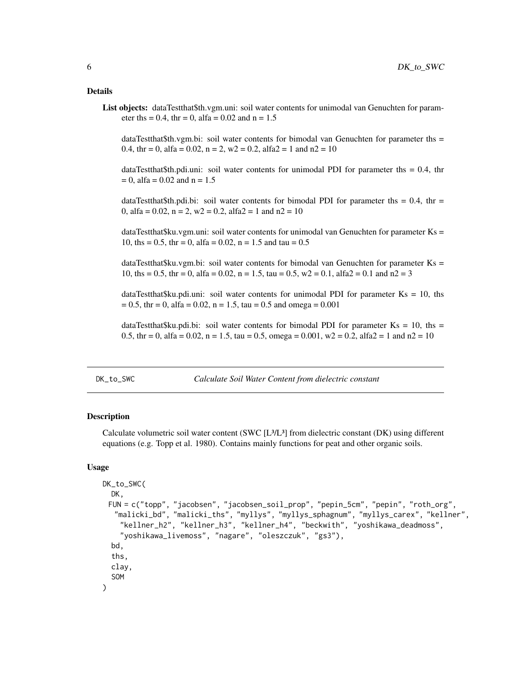#### <span id="page-5-0"></span>Details

List objects: dataTestthat\$th.vgm.uni: soil water contents for unimodal van Genuchten for parameter ths = 0.4, thr = 0, alfa = 0.02 and  $n = 1.5$ 

dataTestthat\$th.vgm.bi: soil water contents for bimodal van Genuchten for parameter ths = 0.4, thr = 0, alfa = 0.02, n = 2, w2 = 0.2, alfa2 = 1 and  $n2 = 10$ 

dataTestthat\$th.pdi.uni: soil water contents for unimodal PDI for parameter ths  $= 0.4$ , thr  $= 0$ , alfa = 0.02 and n = 1.5

dataTestthat\$th.pdi.bi: soil water contents for bimodal PDI for parameter ths = 0.4, thr = 0, alfa =  $0.02$ , n =  $2$ , w  $2 = 0.2$ , alfa  $2 = 1$  and  $n2 = 10$ 

dataTestthat\$ku.vgm.uni: soil water contents for unimodal van Genuchten for parameter Ks = 10, ths = 0.5, thr = 0, alfa = 0.02, n = 1.5 and tau =  $0.5$ 

dataTestthat\$ku.vgm.bi: soil water contents for bimodal van Genuchten for parameter Ks = 10, ths = 0.5, thr = 0, alfa = 0.02, n = 1.5, tau = 0.5,  $w2 = 0.1$ , alfa  $2 = 0.1$  and  $n2 = 3$ 

dataTestthat\$ku.pdi.uni: soil water contents for unimodal PDI for parameter  $Ks = 10$ , ths  $= 0.5$ , thr = 0, alfa = 0.02, n = 1.5, tau = 0.5 and omega = 0.001

dataTestthat\$ku.pdi.bi: soil water contents for bimodal PDI for parameter Ks = 10, ths = 0.5, thr = 0, alfa = 0.02, n = 1.5, tau = 0.5, omega = 0.001,  $w2 = 0.2$ , alfa $2 = 1$  and  $n2 = 10$ 

#### DK\_to\_SWC *Calculate Soil Water Content from dielectric constant*

#### Description

Calculate volumetric soil water content (SWC [L³/L³] from dielectric constant (DK) using different equations (e.g. Topp et al. 1980). Contains mainly functions for peat and other organic soils.

#### Usage

```
DK_to_SWC(
  DK,
 FUN = c("topp", "jacobsen", "jacobsen_soil_prop", "pepin_5cm", "pepin", "roth_org",
  "malicki_bd", "malicki_ths", "myllys", "myllys_sphagnum", "myllys_carex", "kellner",
    "kellner_h2", "kellner_h3", "kellner_h4", "beckwith", "yoshikawa_deadmoss",
    "yoshikawa_livemoss", "nagare", "oleszczuk", "gs3"),
  bd,
  ths,
  clay,
  SOM
)
```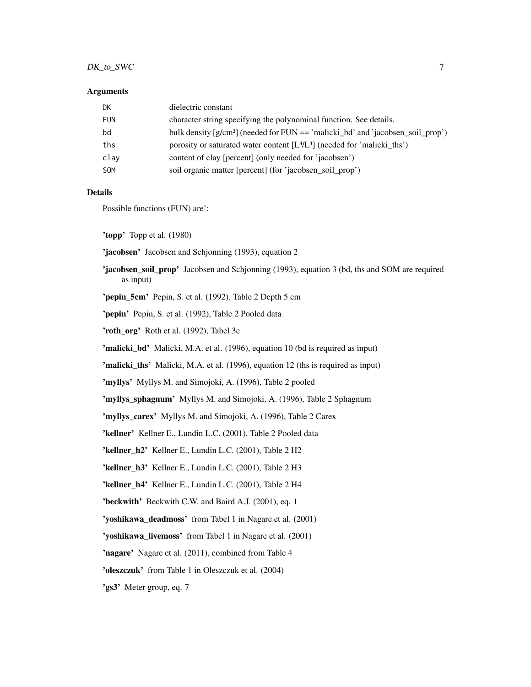# DK\_to\_SWC 7

#### Arguments

| DK         | dielectric constant                                                                 |
|------------|-------------------------------------------------------------------------------------|
| <b>FUN</b> | character string specifying the polynominal function. See details.                  |
| bd         | bulk density $[g/cm^3]$ (needed for FUN $==$ 'malicki_bd' and 'jacobsen_soil_prop') |
| ths        | porosity or saturated water content $[L^3/L^3]$ (needed for 'malicki_ths')          |
| clay       | content of clay [percent] (only needed for 'jacobsen')                              |
| <b>SOM</b> | soil organic matter [percent] (for 'jacobsen_soil_prop')                            |
|            |                                                                                     |

#### Details

Possible functions (FUN) are':

'topp' Topp et al. (1980)

'jacobsen' Jacobsen and Schjonning (1993), equation 2

'jacobsen\_soil\_prop' Jacobsen and Schjonning (1993), equation 3 (bd, ths and SOM are required as input)

'pepin\_5cm' Pepin, S. et al. (1992), Table 2 Depth 5 cm

'pepin' Pepin, S. et al. (1992), Table 2 Pooled data

'roth\_org' Roth et al. (1992), Tabel 3c

'malicki\_bd' Malicki, M.A. et al. (1996), equation 10 (bd is required as input)

'malicki\_ths' Malicki, M.A. et al. (1996), equation 12 (ths is required as input)

'myllys' Myllys M. and Simojoki, A. (1996), Table 2 pooled

'myllys\_sphagnum' Myllys M. and Simojoki, A. (1996), Table 2 Sphagnum

'myllys\_carex' Myllys M. and Simojoki, A. (1996), Table 2 Carex

'kellner' Kellner E., Lundin L.C. (2001), Table 2 Pooled data

'kellner\_h2' Kellner E., Lundin L.C. (2001), Table 2 H2

'kellner\_h3' Kellner E., Lundin L.C. (2001), Table 2 H3

'kellner\_h4' Kellner E., Lundin L.C. (2001), Table 2 H4

'beckwith' Beckwith C.W. and Baird A.J. (2001), eq. 1

'yoshikawa\_deadmoss' from Tabel 1 in Nagare et al. (2001)

'yoshikawa\_livemoss' from Tabel 1 in Nagare et al. (2001)

'nagare' Nagare et al. (2011), combined from Table 4

'oleszczuk' from Table 1 in Oleszczuk et al. (2004)

'gs3' Meter group, eq. 7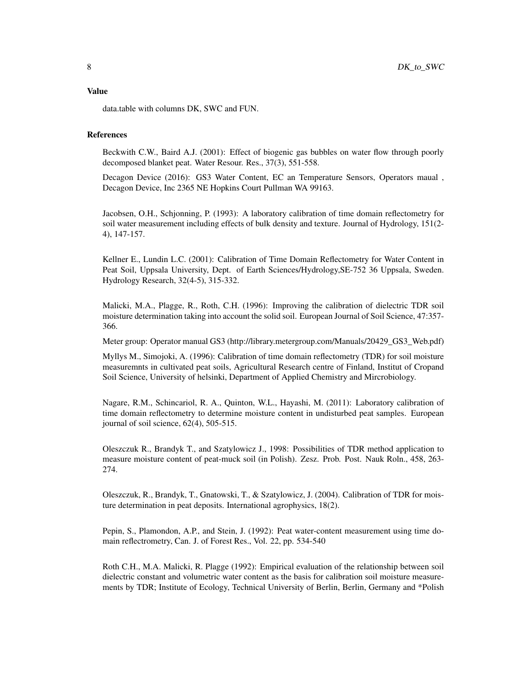data.table with columns DK, SWC and FUN.

#### References

Beckwith C.W., Baird A.J. (2001): Effect of biogenic gas bubbles on water flow through poorly decomposed blanket peat. Water Resour. Res., 37(3), 551-558.

Decagon Device (2016): GS3 Water Content, EC an Temperature Sensors, Operators maual , Decagon Device, Inc 2365 NE Hopkins Court Pullman WA 99163.

Jacobsen, O.H., Schjonning, P. (1993): A laboratory calibration of time domain reflectometry for soil water measurement including effects of bulk density and texture. Journal of Hydrology, 151(2- 4), 147-157.

Kellner E., Lundin L.C. (2001): Calibration of Time Domain Reflectometry for Water Content in Peat Soil, Uppsala University, Dept. of Earth Sciences/Hydrology,SE-752 36 Uppsala, Sweden. Hydrology Research, 32(4-5), 315-332.

Malicki, M.A., Plagge, R., Roth, C.H. (1996): Improving the calibration of dielectric TDR soil moisture determination taking into account the solid soil. European Journal of Soil Science, 47:357- 366.

Meter group: Operator manual GS3 (http://library.metergroup.com/Manuals/20429\_GS3\_Web.pdf)

Myllys M., Simojoki, A. (1996): Calibration of time domain reflectometry (TDR) for soil moisture measuremnts in cultivated peat soils, Agricultural Research centre of Finland, Institut of Cropand Soil Science, University of helsinki, Department of Applied Chemistry and Mircrobiology.

Nagare, R.M., Schincariol, R. A., Quinton, W.L., Hayashi, M. (2011): Laboratory calibration of time domain reflectometry to determine moisture content in undisturbed peat samples. European journal of soil science, 62(4), 505-515.

Oleszczuk R., Brandyk T., and Szatylowicz J., 1998: Possibilities of TDR method application to measure moisture content of peat-muck soil (in Polish). Zesz. Prob. Post. Nauk Roln., 458, 263- 274.

Oleszczuk, R., Brandyk, T., Gnatowski, T., & Szatylowicz, J. (2004). Calibration of TDR for moisture determination in peat deposits. International agrophysics, 18(2).

Pepin, S., Plamondon, A.P., and Stein, J. (1992): Peat water-content measurement using time domain reflectrometry, Can. J. of Forest Res., Vol. 22, pp. 534-540

Roth C.H., M.A. Malicki, R. Plagge (1992): Empirical evaluation of the relationship between soil dielectric constant and volumetric water content as the basis for calibration soil moisture measurements by TDR; Institute of Ecology, Technical University of Berlin, Berlin, Germany and \*Polish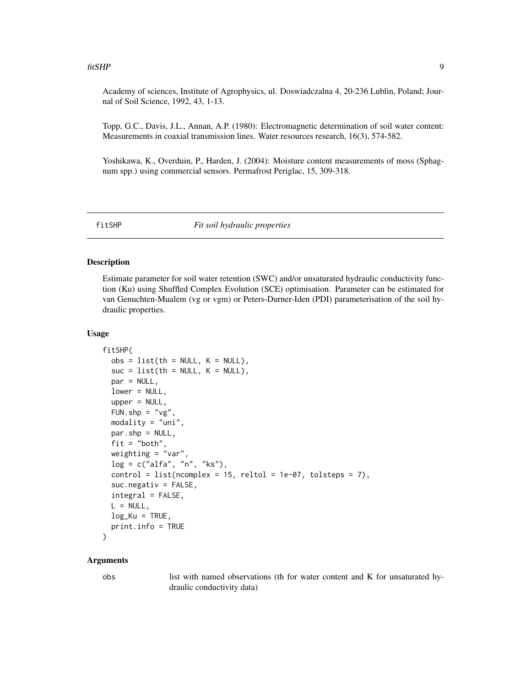<span id="page-8-0"></span>Academy of sciences, Institute of Agrophysics, ul. Doswiadczalna 4, 20-236 Lublin, Poland; Journal of Soil Science, 1992, 43, 1-13.

Topp, G.C., Davis, J.L., Annan, A.P. (1980): Electromagnetic determination of soil water content: Measurements in coaxial transmission lines. Water resources research, 16(3), 574-582.

Yoshikawa, K., Overduin, P., Harden, J. (2004): Moisture content measurements of moss (Sphagnum spp.) using commercial sensors. Permafrost Periglac, 15, 309-318.

fitSHP *Fit soil hydraulic properties*

## Description

Estimate parameter for soil water retention (SWC) and/or unsaturated hydraulic conductivity function (Ku) using Shuffled Complex Evolution (SCE) optimisation. Parameter can be estimated for van Genuchten-Mualem (vg or vgm) or Peters-Durner-Iden (PDI) parameterisation of the soil hydraulic properties.

#### Usage

```
fitSHP(
 obs = list(th = NULL, K = NULL),suc = list(th = NULL, K = NULL),par = NULL,lower = NULL,upper = NULL,FUN.shp = "vg",
 modality = "uni",
 par.shp = NULL,
 fit = "both",
 weighting = "var",
 log = c("alfa", "n", "ks"),
  control = list(ncomplex = 15, reltol = 1e-07, tolsteps = 7),suc.negativ = FALSE,integral = FALSE,
 L = NULL,log_Ku = TRUE,
 print.info = TRUE
```
# )

#### Arguments

obs list with named observations (th for water content and K for unsaturated hydraulic conductivity data)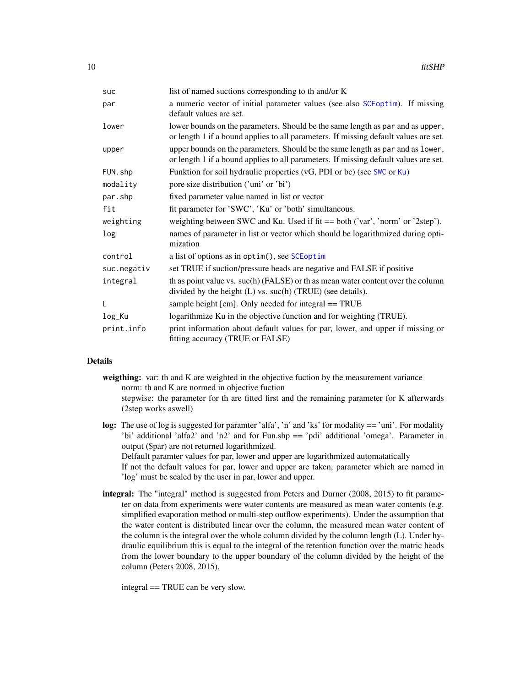<span id="page-9-0"></span>

| suc         | list of named suctions corresponding to the and/or K                                                                                                                   |
|-------------|------------------------------------------------------------------------------------------------------------------------------------------------------------------------|
| par         | a numeric vector of initial parameter values (see also SCEoptim). If missing<br>default values are set.                                                                |
| lower       | lower bounds on the parameters. Should be the same length as par and as upper,<br>or length 1 if a bound applies to all parameters. If missing default values are set. |
| upper       | upper bounds on the parameters. Should be the same length as par and as lower,<br>or length 1 if a bound applies to all parameters. If missing default values are set. |
| FUN.shp     | Funktion for soil hydraulic properties (vG, PDI or bc) (see SWC or Ku)                                                                                                 |
| modality    | pore size distribution ('uni' or 'bi')                                                                                                                                 |
| par.shp     | fixed parameter value named in list or vector                                                                                                                          |
| fit         | fit parameter for 'SWC', 'Ku' or 'both' simultaneous.                                                                                                                  |
| weighting   | weighting between SWC and Ku. Used if fit == both ('var', 'norm' or '2step').                                                                                          |
| log         | names of parameter in list or vector which should be logarithmized during opti-<br>mization                                                                            |
| control     | a list of options as in optim(), see SCE optim                                                                                                                         |
| suc.negativ | set TRUE if suction/pressure heads are negative and FALSE if positive                                                                                                  |
| integral    | th as point value vs. suc(h) (FALSE) or th as mean water content over the column<br>divided by the height (L) vs. suc(h) (TRUE) (see details).                         |
| L           | sample height [cm]. Only needed for integral == TRUE                                                                                                                   |
| log_Ku      | logarithmize Ku in the objective function and for weighting (TRUE).                                                                                                    |
| print.info  | print information about default values for par, lower, and upper if missing or<br>fitting accuracy (TRUE or FALSE)                                                     |

#### Details

weigthing: var: th and K are weighted in the objective fuction by the measurement variance norm: th and K are normed in objective fuction stepwise: the parameter for th are fitted first and the remaining parameter for K afterwards (2step works aswell)

- log: The use of log is suggested for paramter 'alfa', 'n' and 'ks' for modality == 'uni'. For modality 'bi' additional 'alfa2' and 'n2' and for Fun.shp == 'pdi' additional 'omega'. Parameter in output (\$par) are not returned logarithmized. Delfault paramter values for par, lower and upper are logarithmized automatatically If not the default values for par, lower and upper are taken, parameter which are named in 'log' must be scaled by the user in par, lower and upper.
- integral: The "integral" method is suggested from Peters and Durner (2008, 2015) to fit parameter on data from experiments were water contents are measured as mean water contents (e.g. simplified evaporation method or multi-step outflow experiments). Under the assumption that the water content is distributed linear over the column, the measured mean water content of the column is the integral over the whole column divided by the column length (L). Under hydraulic equilibrium this is equal to the integral of the retention function over the matric heads from the lower boundary to the upper boundary of the column divided by the height of the column (Peters 2008, 2015).

integral == TRUE can be very slow.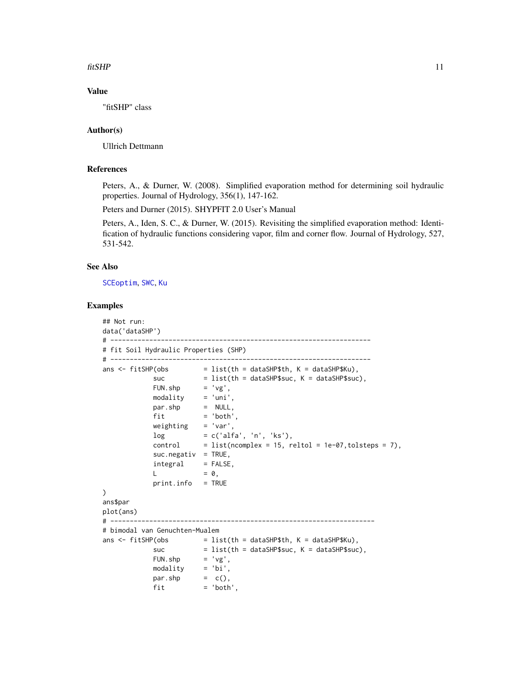#### <span id="page-10-0"></span>fitSHP 11

# Value

"fitSHP" class

#### Author(s)

Ullrich Dettmann

## References

Peters, A., & Durner, W. (2008). Simplified evaporation method for determining soil hydraulic properties. Journal of Hydrology, 356(1), 147-162.

Peters and Durner (2015). SHYPFIT 2.0 User's Manual

Peters, A., Iden, S. C., & Durner, W. (2015). Revisiting the simplified evaporation method: Identification of hydraulic functions considering vapor, film and corner flow. Journal of Hydrology, 527, 531-542.

# See Also

[SCEoptim](#page-24-1), [SWC](#page-28-1), [Ku](#page-13-1)

# Examples

```
## Not run:
data('dataSHP')
# -------------------------------------------------------------------
# fit Soil Hydraulic Properties (SHP)
# -------------------------------------------------------------------
ans \le fitSHP(obs = list(th = dataSHP$th, K = dataSHP$Ku),
             suc = list(th = dataSHP$suc, K = dataSHP$suc),FUN.shp = 'vg',
            modality = 'uni',par.shp = NULL,
             \begin{aligned} \n\text{par } . \, \text{sup} \n\quad &= \text{ 'both',} \n\end{aligned}weighting = 'var',
            log = c('alfa', 'n', 'ks'),control = list(ncomplex = 15, relation = 1e-07, tolsteps = 7),suc.negativ = TRUE,integral = FALSE,
            L = 0,
             print.info = TRUE
\lambdaans$par
plot(ans)
# --------------------------------------------------------------------
# bimodal van Genuchten-Mualem
ans \le fitSHP(obs = list(th = dataSHP$th, K = dataSHP$Ku),
             suc = list(th = dataSHP$suc, K = dataSHP$suc),<br>FUN.shp = 'vg',
                        = 'vg',modality = 'bi',
             par.shp = c(),
             fit = 'both',
```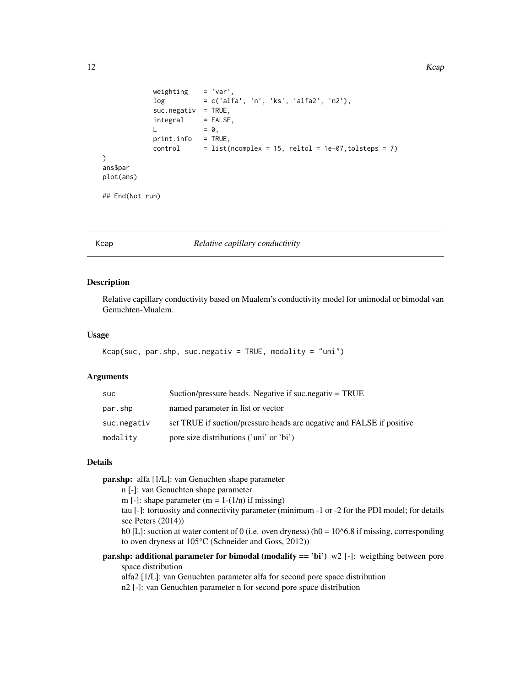```
weighting = 'var',log = c('alfa', 'n', 'ks', 'alfa2', 'n2'),
           suc.negativ = TRUE,
           integral = FALSE,L = 0,
           print.info = TRUE,
           control = list(ncomplex = 15, reltol = 1e-07, tolsteps = 7)\mathcal{L}ans$par
plot(ans)
## End(Not run)
```
Kcap *Relative capillary conductivity*

# Description

Relative capillary conductivity based on Mualem's conductivity model for unimodal or bimodal van Genuchten-Mualem.

# Usage

```
Kcap(suc, par.shp, suc.negativ = TRUE, modality = "uni")
```
# Arguments

| <b>SUC</b>  | Suction/pressure heads. Negative if suc. negativ $=$ TRUE             |
|-------------|-----------------------------------------------------------------------|
| par.shp     | named parameter in list or vector                                     |
| suc.negativ | set TRUE if suction/pressure heads are negative and FALSE if positive |
| modality    | pore size distributions ('uni' or 'bi')                               |

# Details

par.shp: alfa [1/L]: van Genuchten shape parameter n [-]: van Genuchten shape parameter m [-]: shape parameter  $(m = 1-(1/n))$  if missing) tau [-]: tortuosity and connectivity parameter (minimum -1 or -2 for the PDI model; for details see Peters (2014)) h0 [L]: suction at water content of 0 (i.e. oven dryness) (h0 =  $10^{6}$ 6.8 if missing, corresponding to oven dryness at 105°C (Schneider and Goss, 2012))

**par.shp:** additional parameter for bimodal (modality  $==$  'bi') w2 [-]: weigthing between pore space distribution

alfa2 [1/L]: van Genuchten parameter alfa for second pore space distribution n2 [-]: van Genuchten parameter n for second pore space distribution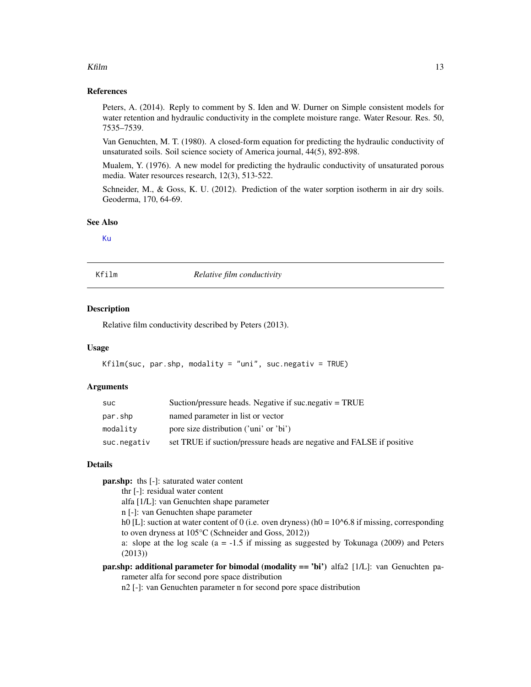#### <span id="page-12-0"></span> $Kfilm$  13

#### References

Peters, A. (2014). Reply to comment by S. Iden and W. Durner on Simple consistent models for water retention and hydraulic conductivity in the complete moisture range. Water Resour. Res. 50, 7535–7539.

Van Genuchten, M. T. (1980). A closed-form equation for predicting the hydraulic conductivity of unsaturated soils. Soil science society of America journal, 44(5), 892-898.

Mualem, Y. (1976). A new model for predicting the hydraulic conductivity of unsaturated porous media. Water resources research, 12(3), 513-522.

Schneider, M., & Goss, K. U. (2012). Prediction of the water sorption isotherm in air dry soils. Geoderma, 170, 64-69.

#### See Also

[Ku](#page-13-1)

Kfilm *Relative film conductivity*

#### **Description**

Relative film conductivity described by Peters (2013).

#### Usage

```
Kfilm(suc, par.shp, modality = "uni", suc.negativ = TRUE)
```
#### Arguments

| suc         | Suction/pressure heads. Negative if suc.negativ $=$ TRUE              |
|-------------|-----------------------------------------------------------------------|
| par.shp     | named parameter in list or vector                                     |
| modality    | pore size distribution ('uni' or 'bi')                                |
| suc.negativ | set TRUE if suction/pressure heads are negative and FALSE if positive |

#### Details

par.shp: ths [-]: saturated water content

thr [-]: residual water content

alfa [1/L]: van Genuchten shape parameter

n [-]: van Genuchten shape parameter

h0 [L]: suction at water content of 0 (i.e. oven dryness) (h0 =  $10^{6}$ 6.8 if missing, corresponding to oven dryness at 105°C (Schneider and Goss, 2012))

a: slope at the log scale  $(a = -1.5$  if missing as suggested by Tokunaga (2009) and Peters (2013))

par.shp: additional parameter for bimodal (modality == 'bi') alfa2 [1/L]: van Genuchten parameter alfa for second pore space distribution

n2 [-]: van Genuchten parameter n for second pore space distribution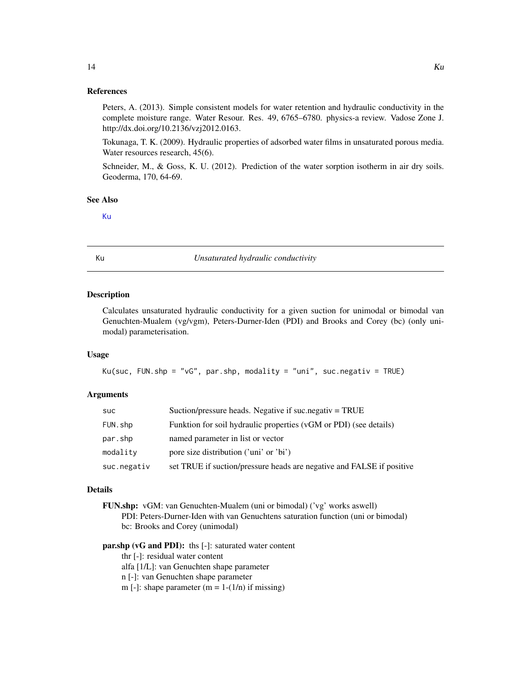#### <span id="page-13-0"></span>References

Peters, A. (2013). Simple consistent models for water retention and hydraulic conductivity in the complete moisture range. Water Resour. Res. 49, 6765–6780. physics-a review. Vadose Zone J. http://dx.doi.org/10.2136/vzj2012.0163.

Tokunaga, T. K. (2009). Hydraulic properties of adsorbed water films in unsaturated porous media. Water resources research, 45(6).

Schneider, M., & Goss, K. U. (2012). Prediction of the water sorption isotherm in air dry soils. Geoderma, 170, 64-69.

#### See Also

[Ku](#page-13-1)

<span id="page-13-1"></span>Ku *Unsaturated hydraulic conductivity*

#### Description

Calculates unsaturated hydraulic conductivity for a given suction for unimodal or bimodal van Genuchten-Mualem (vg/vgm), Peters-Durner-Iden (PDI) and Brooks and Corey (bc) (only unimodal) parameterisation.

#### Usage

```
Ku(suc, FUN.shp = "vG", par.shp, modality = "uni", suc.negativ = TRUE)
```
#### **Arguments**

| <b>SUC</b>  | Suction/pressure heads. Negative if suc.negativ = TRUE                |
|-------------|-----------------------------------------------------------------------|
| FUN.shp     | Funktion for soil hydraulic properties (vGM or PDI) (see details)     |
| par.shp     | named parameter in list or vector                                     |
| modality    | pore size distribution ('uni' or 'bi')                                |
| suc.negativ | set TRUE if suction/pressure heads are negative and FALSE if positive |

#### Details

FUN.shp: vGM: van Genuchten-Mualem (uni or bimodal) ('vg' works aswell) PDI: Peters-Durner-Iden with van Genuchtens saturation function (uni or bimodal) bc: Brooks and Corey (unimodal)

# par.shp (vG and PDI): ths [-]: saturated water content

thr [-]: residual water content

alfa [1/L]: van Genuchten shape parameter

n [-]: van Genuchten shape parameter

m [-]: shape parameter  $(m = 1-(1/n))$  if missing)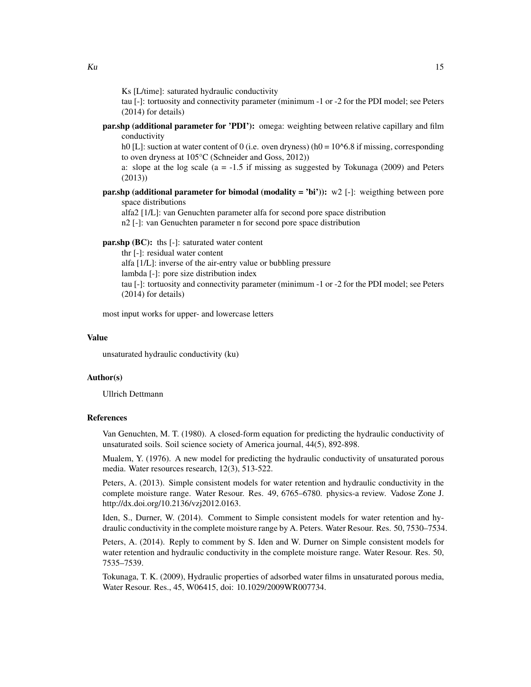Ks [L/time]: saturated hydraulic conductivity

tau [-]: tortuosity and connectivity parameter (minimum -1 or -2 for the PDI model; see Peters (2014) for details)

**par.shp (additional parameter for 'PDI'):** omega: weighting between relative capillary and film conductivity

h0 [L]: suction at water content of 0 (i.e. oven dryness) (h0 =  $10^{6}$ 6.8 if missing, corresponding to oven dryness at 105°C (Schneider and Goss, 2012))

a: slope at the log scale  $(a = -1.5$  if missing as suggested by Tokunaga (2009) and Peters (2013))

**par.shp (additional parameter for bimodal (modality = 'bi')):** w2 [-]: weigthing between pore space distributions

alfa2 [1/L]: van Genuchten parameter alfa for second pore space distribution

n2 [-]: van Genuchten parameter n for second pore space distribution

par.shp (BC): ths [-]: saturated water content

thr [-]: residual water content alfa [1/L]: inverse of the air-entry value or bubbling pressure lambda [-]: pore size distribution index tau [-]: tortuosity and connectivity parameter (minimum -1 or -2 for the PDI model; see Peters (2014) for details)

most input works for upper- and lowercase letters

#### Value

unsaturated hydraulic conductivity (ku)

#### Author(s)

Ullrich Dettmann

#### References

Van Genuchten, M. T. (1980). A closed-form equation for predicting the hydraulic conductivity of unsaturated soils. Soil science society of America journal, 44(5), 892-898.

Mualem, Y. (1976). A new model for predicting the hydraulic conductivity of unsaturated porous media. Water resources research, 12(3), 513-522.

Peters, A. (2013). Simple consistent models for water retention and hydraulic conductivity in the complete moisture range. Water Resour. Res. 49, 6765–6780. physics-a review. Vadose Zone J. http://dx.doi.org/10.2136/vzj2012.0163.

Iden, S., Durner, W. (2014). Comment to Simple consistent models for water retention and hydraulic conductivity in the complete moisture range by A. Peters. Water Resour. Res. 50, 7530–7534.

Peters, A. (2014). Reply to comment by S. Iden and W. Durner on Simple consistent models for water retention and hydraulic conductivity in the complete moisture range. Water Resour. Res. 50, 7535–7539.

Tokunaga, T. K. (2009), Hydraulic properties of adsorbed water films in unsaturated porous media, Water Resour. Res., 45, W06415, doi: 10.1029/2009WR007734.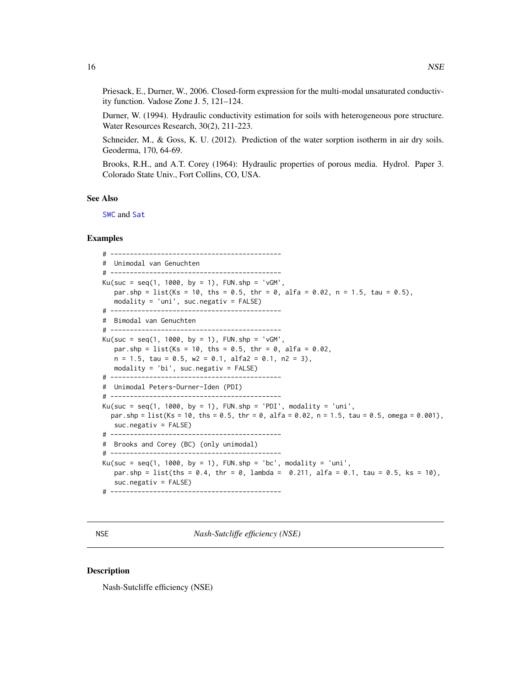<span id="page-15-0"></span>Priesack, E., Durner, W., 2006. Closed-form expression for the multi-modal unsaturated conductivity function. Vadose Zone J. 5, 121–124.

Durner, W. (1994). Hydraulic conductivity estimation for soils with heterogeneous pore structure. Water Resources Research, 30(2), 211-223.

Schneider, M., & Goss, K. U. (2012). Prediction of the water sorption isotherm in air dry soils. Geoderma, 170, 64-69.

Brooks, R.H., and A.T. Corey (1964): Hydraulic properties of porous media. Hydrol. Paper 3. Colorado State Univ., Fort Collins, CO, USA.

#### See Also

[SWC](#page-28-1) and [Sat](#page-21-1)

#### Examples

```
# --------------------------------------------
# Unimodal van Genuchten
# --------------------------------------------
Ku(suc = seq(1, 1000, by = 1), FUN.shp = 'vGM',par.shp = list(Ks = 10, ths = 0.5, thr = 0, alfa = 0.02, n = 1.5, tau = 0.5),
   modality = 'uni', suc.negativ = FALSE)
# --------------------------------------------
# Bimodal van Genuchten
# --------------------------------------------
Ku(suc = seq(1, 1000, by = 1), FUN.shp = 'vGM',par.shp = list(Ks = 10, ths = 0.5, thr = 0, alfa = 0.02,
   n = 1.5, tau = 0.5, w2 = 0.1, alfa2 = 0.1, n2 = 3),
   modality = 'bi', suc.negativ = FALSE)
# --------------------------------------------
# Unimodal Peters-Durner-Iden (PDI)
# --------------------------------------------
Ku(suc = seq(1, 1000, by = 1), FUN.shp = 'PDI', modality = 'uni',
  par.shp = list(Ks = 10, ths = 0.5, thr = 0, alfa = 0.02, n = 1.5, tau = 0.5, omega = 0.001),
   suc.negativ = FALSE)
# --------------------------------------------
# Brooks and Corey (BC) (only unimodal)
# --------------------------------------------
Ku(suc = seq(1, 1000, by = 1), FUN.shp = 'bc', modality = 'uni',
   par.shp = list(ths = 0.4, thr = 0, lambda = 0.211, alfa = 0.1, tau = 0.5, ks = 10),
   suc.negativ = FALSE)
# --------------------------------------------
```
NSE *Nash-Sutcliffe efficiency (NSE)*

#### **Description**

Nash-Sutcliffe efficiency (NSE)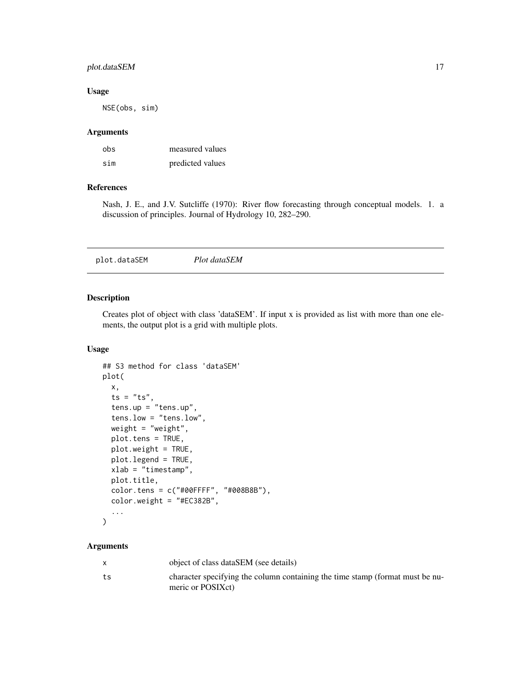# <span id="page-16-0"></span>plot.dataSEM 17

# Usage

NSE(obs, sim)

#### Arguments

| obs | measured values  |
|-----|------------------|
| sim | predicted values |

# References

Nash, J. E., and J.V. Sutcliffe (1970): River flow forecasting through conceptual models. 1. a discussion of principles. Journal of Hydrology 10, 282–290.

# Description

Creates plot of object with class 'dataSEM'. If input x is provided as list with more than one elements, the output plot is a grid with multiple plots.

# Usage

```
## S3 method for class 'dataSEM'
plot(
  x,
  ts = "ts",tens.up = "tens.up",
  tens.low = "tens.low",
  weight = "weight",
 plot.tens = TRUE,
 plot.weight = TRUE,
 plot.legend = TRUE,
  xlab = "timestamp",
 plot.title,
  color.tens = c("#00FFFF", "#008B8B"),
  color.weight = "#EC382B",
  ...
)
```
# Arguments

|    | object of class dataSEM (see details)                                                              |
|----|----------------------------------------------------------------------------------------------------|
| ts | character specifying the column containing the time stamp (format must be nu-<br>meric or POSIXct) |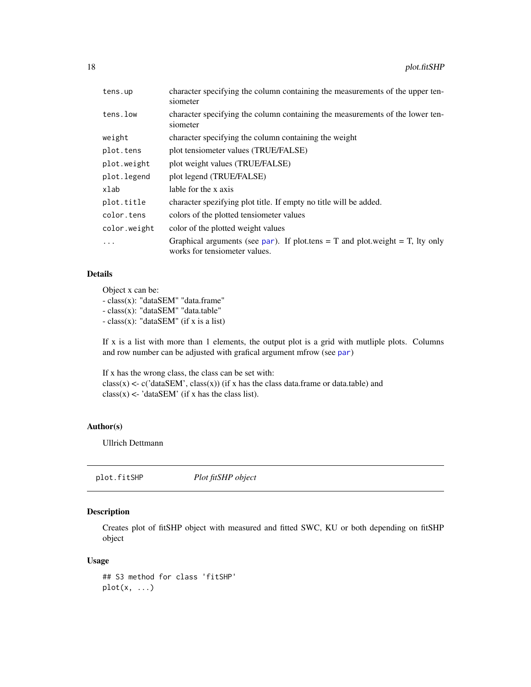<span id="page-17-0"></span>

| tens.up      | character specifying the column containing the measurements of the upper ten-<br>siometer                      |
|--------------|----------------------------------------------------------------------------------------------------------------|
| tens.low     | character specifying the column containing the measurements of the lower ten-<br>siometer                      |
| weight       | character specifying the column containing the weight                                                          |
| plot.tens    | plot tensiometer values (TRUE/FALSE)                                                                           |
| plot.weight  | plot weight values (TRUE/FALSE)                                                                                |
| plot.legend  | plot legend (TRUE/FALSE)                                                                                       |
| xlab         | lable for the x axis                                                                                           |
| plot.title   | character spezifying plot title. If empty no title will be added.                                              |
| color.tens   | colors of the plotted tensiometer values                                                                       |
| color.weight | color of the plotted weight values                                                                             |
| $\ddots$     | Graphical arguments (see par). If plot tens = T and plot weight = T, lty only<br>works for tensiometer values. |

# Details

Object x can be:

- class(x): "dataSEM" "data.frame" - class(x): "dataSEM" "data.table" - class(x): "dataSEM" (if x is a list)

If x is a list with more than 1 elements, the output plot is a grid with mutliple plots. Columns and row number can be adjusted with grafical argument mfrow (see [par](#page-0-0))

If x has the wrong class, the class can be set with:  $class(x) < -c('dataSEM', class(x))$  (if x has the class data.frame or data.table) and  $class(x) \leq$  'dataSEM' (if x has the class list).

# Author(s)

Ullrich Dettmann

plot.fitSHP *Plot fitSHP object*

# Description

Creates plot of fitSHP object with measured and fitted SWC, KU or both depending on fitSHP object

#### Usage

## S3 method for class 'fitSHP'  $plot(x, \ldots)$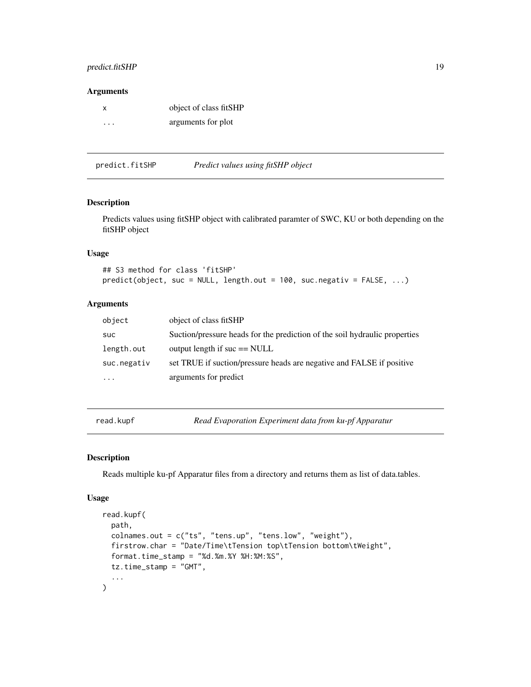### <span id="page-18-0"></span>predict.fitSHP 19

#### Arguments

| X       | object of class fitSHP |
|---------|------------------------|
| $\cdot$ | arguments for plot     |

| Predict values using fitSHP object<br>predict.fitSHP |  |
|------------------------------------------------------|--|
|------------------------------------------------------|--|

#### Description

Predicts values using fitSHP object with calibrated paramter of SWC, KU or both depending on the fitSHP object

# Usage

```
## S3 method for class 'fitSHP'
predict(object, suc = NULL, length.out = 100, suc.negativ = FALSE, ...)
```
#### Arguments

| object      | object of class fitSHP                                                     |
|-------------|----------------------------------------------------------------------------|
| suc         | Suction/pressure heads for the prediction of the soil hydraulic properties |
| length.out  | output length if $\text{suc} == \text{NULL}$                               |
| suc.negativ | set TRUE if suction/pressure heads are negative and FALSE if positive      |
| $\cdots$    | arguments for predict                                                      |

read.kupf *Read Evaporation Experiment data from ku-pf Apparatur*

# Description

Reads multiple ku-pf Apparatur files from a directory and returns them as list of data.tables.

#### Usage

```
read.kupf(
 path,
 colnames.out = c("ts", "tens.up", "tens.low", "weight"),
 firstrow.char = "Date/Time\tTension top\tTension bottom\tWeight",
 format.time_stamp = "%d.%m.%Y %H:%M:%S",
 tz.time_stamp = "GMT",
  ...
\mathcal{L}
```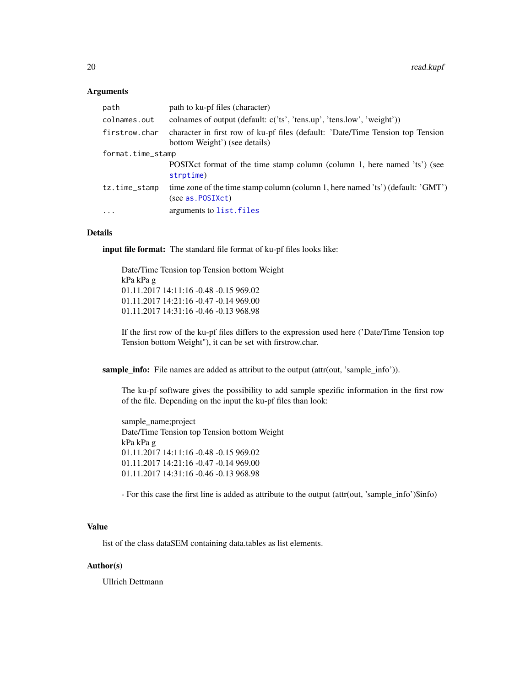#### <span id="page-19-0"></span>Arguments

| path              | path to ku-pf files (character)                                                                                 |
|-------------------|-----------------------------------------------------------------------------------------------------------------|
| colnames.out      | colnames of output (default: $c('ts', 'tens.up', 'tens.lower', 'weight'))$                                      |
| firstrow.char     | character in first row of ku-pf files (default: 'Date/Time Tension top Tension<br>bottom Weight') (see details) |
| format.time_stamp |                                                                                                                 |
|                   | POSIX et format of the time stamp column (column 1, here named 'ts') (see<br>strptime)                          |
| tz.time_stamp     | time zone of the time stamp column (column 1, here named 'ts') (default: 'GMT')<br>(see as.POSIXct)             |
| $\ddots$ .        | arguments to list. files                                                                                        |

#### Details

input file format: The standard file format of ku-pf files looks like:

Date/Time Tension top Tension bottom Weight kPa kPa g 01.11.2017 14:11:16 -0.48 -0.15 969.02 01.11.2017 14:21:16 -0.47 -0.14 969.00 01.11.2017 14:31:16 -0.46 -0.13 968.98

If the first row of the ku-pf files differs to the expression used here ('Date/Time Tension top Tension bottom Weight"), it can be set with firstrow.char.

sample\_info: File names are added as attribut to the output (attr(out, 'sample\_info')).

The ku-pf software gives the possibility to add sample spezific information in the first row of the file. Depending on the input the ku-pf files than look:

sample\_name;project Date/Time Tension top Tension bottom Weight kPa kPa g 01.11.2017 14:11:16 -0.48 -0.15 969.02 01.11.2017 14:21:16 -0.47 -0.14 969.00 01.11.2017 14:31:16 -0.46 -0.13 968.98

- For this case the first line is added as attribute to the output (attr(out, 'sample\_info')\$info)

#### Value

list of the class dataSEM containing data.tables as list elements.

#### Author(s)

Ullrich Dettmann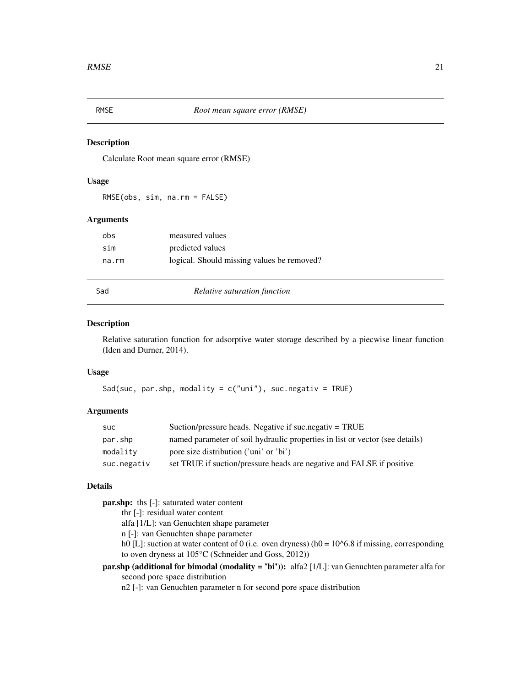<span id="page-20-0"></span>

# Description

Calculate Root mean square error (RMSE)

#### Usage

RMSE(obs, sim, na.rm = FALSE)

# Arguments

| obs   | measured values                            |
|-------|--------------------------------------------|
| sim   | predicted values                           |
| na.rm | logical. Should missing values be removed? |

Sad *Relative saturation function*

#### Description

Relative saturation function for adsorptive water storage described by a piecwise linear function (Iden and Durner, 2014).

# Usage

Sad(suc, par.shp, modality =  $c("uni")$ , suc.negativ = TRUE)

### Arguments

| suc         | Suction/pressure heads. Negative if suc. negativ $=$ TRUE                    |
|-------------|------------------------------------------------------------------------------|
| par.shp     | named parameter of soil hydraulic properties in list or vector (see details) |
| modality    | pore size distribution ('uni' or 'bi')                                       |
| suc.negativ | set TRUE if suction/pressure heads are negative and FALSE if positive        |

### Details

par.shp: ths [-]: saturated water content

thr [-]: residual water content

alfa [1/L]: van Genuchten shape parameter

n [-]: van Genuchten shape parameter

h0 [L]: suction at water content of 0 (i.e. oven dryness) (h0 =  $10<sup>6</sup>$ .8 if missing, corresponding to oven dryness at 105°C (Schneider and Goss, 2012))

par.shp (additional for bimodal (modality = 'bi')): alfa2 [1/L]: van Genuchten parameter alfa for second pore space distribution

n2 [-]: van Genuchten parameter n for second pore space distribution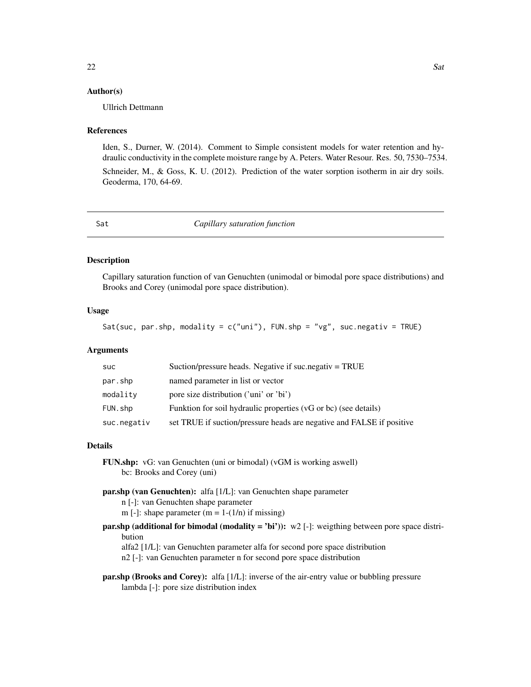#### <span id="page-21-0"></span>Author(s)

Ullrich Dettmann

#### References

Iden, S., Durner, W. (2014). Comment to Simple consistent models for water retention and hydraulic conductivity in the complete moisture range by A. Peters. Water Resour. Res. 50, 7530–7534.

Schneider, M., & Goss, K. U. (2012). Prediction of the water sorption isotherm in air dry soils. Geoderma, 170, 64-69.

<span id="page-21-1"></span>Sat *Capillary saturation function*

#### Description

Capillary saturation function of van Genuchten (unimodal or bimodal pore space distributions) and Brooks and Corey (unimodal pore space distribution).

#### Usage

Sat(suc, par.shp, modality = c("uni"), FUN.shp = "vg", suc.negativ = TRUE)

#### Arguments

| <b>SUC</b>  | Suction/pressure heads. Negative if suc.negativ $=$ TRUE              |
|-------------|-----------------------------------------------------------------------|
| par.shp     | named parameter in list or vector                                     |
| modality    | pore size distribution ('uni' or 'bi')                                |
| FUN.shp     | Funktion for soil hydraulic properties (vG or bc) (see details)       |
| suc.negativ | set TRUE if suction/pressure heads are negative and FALSE if positive |

#### Details

FUN.shp: vG: van Genuchten (uni or bimodal) (vGM is working aswell) bc: Brooks and Corey (uni)

par.shp (van Genuchten): alfa [1/L]: van Genuchten shape parameter

n [-]: van Genuchten shape parameter

m [-]: shape parameter  $(m = 1-(1/n))$  if missing)

**par.shp (additional for bimodal (modality = 'bi')):** w2 [-]: weigthing between pore space distribution

alfa2 [1/L]: van Genuchten parameter alfa for second pore space distribution

n2 [-]: van Genuchten parameter n for second pore space distribution

par.shp (Brooks and Corey): alfa [1/L]: inverse of the air-entry value or bubbling pressure lambda [-]: pore size distribution index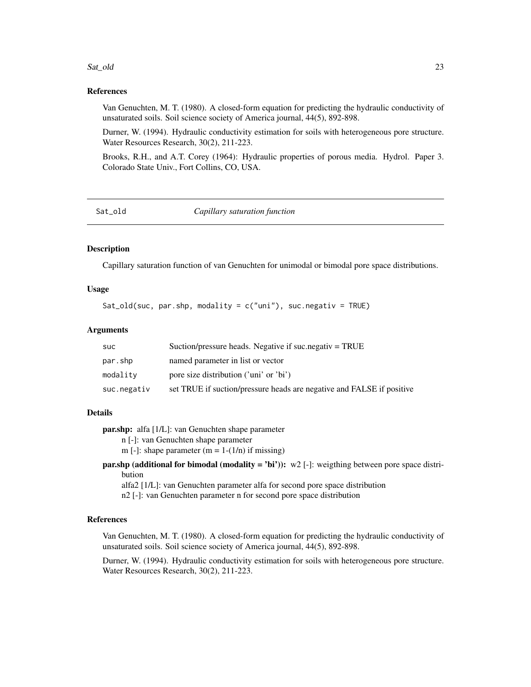#### <span id="page-22-0"></span>Sat\_old 23

#### References

Van Genuchten, M. T. (1980). A closed-form equation for predicting the hydraulic conductivity of unsaturated soils. Soil science society of America journal, 44(5), 892-898.

Durner, W. (1994). Hydraulic conductivity estimation for soils with heterogeneous pore structure. Water Resources Research, 30(2), 211-223.

Brooks, R.H., and A.T. Corey (1964): Hydraulic properties of porous media. Hydrol. Paper 3. Colorado State Univ., Fort Collins, CO, USA.

Sat\_old *Capillary saturation function*

# Description

Capillary saturation function of van Genuchten for unimodal or bimodal pore space distributions.

#### Usage

Sat\_old(suc, par.shp, modality =  $c("uni")$ , suc.negativ = TRUE)

### Arguments

| suc         | Suction/pressure heads. Negative if suc.negativ = TRUE                |
|-------------|-----------------------------------------------------------------------|
| par.shp     | named parameter in list or vector                                     |
| modality    | pore size distribution ('uni' or 'bi')                                |
| suc.negativ | set TRUE if suction/pressure heads are negative and FALSE if positive |

#### Details

par.shp: alfa [1/L]: van Genuchten shape parameter n [-]: van Genuchten shape parameter m [-]: shape parameter  $(m = 1-(1/n))$  if missing)

**par.shp (additional for bimodal (modality = 'bi')):** w2 [-]: weigthing between pore space distribution

alfa2 [1/L]: van Genuchten parameter alfa for second pore space distribution n2 [-]: van Genuchten parameter n for second pore space distribution

#### References

Van Genuchten, M. T. (1980). A closed-form equation for predicting the hydraulic conductivity of unsaturated soils. Soil science society of America journal, 44(5), 892-898.

Durner, W. (1994). Hydraulic conductivity estimation for soils with heterogeneous pore structure. Water Resources Research, 30(2), 211-223.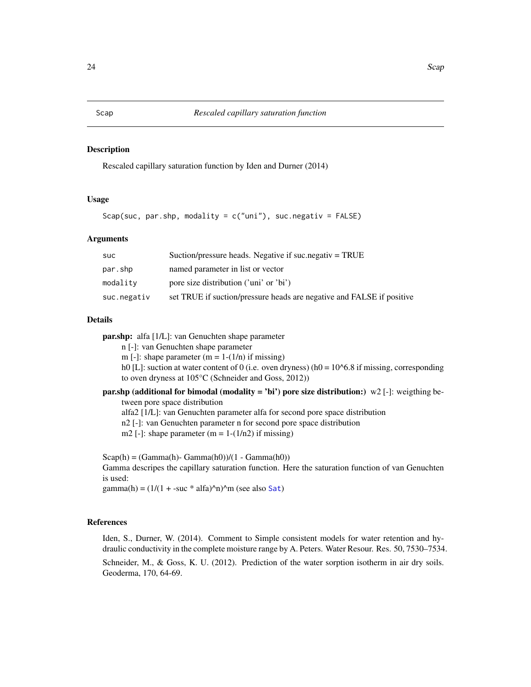#### <span id="page-23-1"></span><span id="page-23-0"></span>Description

Rescaled capillary saturation function by Iden and Durner (2014)

# Usage

Scap(suc, par.shp, modality =  $c("uni"),$  suc.negativ = FALSE)

#### Arguments

| suc         | Suction/pressure heads. Negative if suc. negativ $=$ TRUE             |
|-------------|-----------------------------------------------------------------------|
| par.shp     | named parameter in list or vector                                     |
| modality    | pore size distribution ('uni' or 'bi')                                |
| suc.negativ | set TRUE if suction/pressure heads are negative and FALSE if positive |

# Details

par.shp: alfa [1/L]: van Genuchten shape parameter

n [-]: van Genuchten shape parameter

m [-]: shape parameter  $(m = 1-(1/n))$  if missing)

h0 [L]: suction at water content of 0 (i.e. oven dryness) (h0 =  $10<sup>6</sup>$ .8 if missing, corresponding to oven dryness at 105°C (Schneider and Goss, 2012))

#### par.shp (additional for bimodal (modality = 'bi') pore size distribution:)  $w2$  [-]: weigthing between pore space distribution

alfa2 [1/L]: van Genuchten parameter alfa for second pore space distribution

n2 [-]: van Genuchten parameter n for second pore space distribution

m2 [-]: shape parameter  $(m = 1-(1/n2))$  if missing)

 $Scap(h) = (Gamma(h) - Gamma(h0))/(1 - Gamma(h0))$ Gamma descripes the capillary saturation function. Here the saturation function of van Genuchten is used:

gamma(h) =  $(1/(1 + -suc * alfa)^n)^m$  (see also [Sat](#page-21-1))

#### References

Iden, S., Durner, W. (2014). Comment to Simple consistent models for water retention and hydraulic conductivity in the complete moisture range by A. Peters. Water Resour. Res. 50, 7530–7534.

Schneider, M., & Goss, K. U. (2012). Prediction of the water sorption isotherm in air dry soils. Geoderma, 170, 64-69.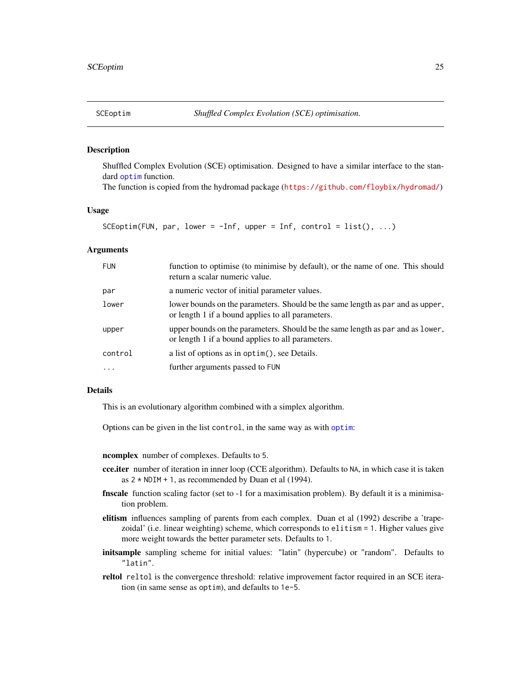<span id="page-24-1"></span><span id="page-24-0"></span>

#### Description

Shuffled Complex Evolution (SCE) optimisation. Designed to have a similar interface to the standard [optim](#page-0-0) function.

The function is copied from the hydromad package (<https://github.com/floybix/hydromad/>)

#### Usage

SCEoptim(FUN, par, lower =  $-Inf$ , upper = Inf, control = list(), ...)

#### Arguments

| <b>FUN</b> | function to optimise (to minimise by default), or the name of one. This should<br>return a scalar numeric value.                    |
|------------|-------------------------------------------------------------------------------------------------------------------------------------|
| par        | a numeric vector of initial parameter values.                                                                                       |
| lower      | lower bounds on the parameters. Should be the same length as par and as upper,<br>or length 1 if a bound applies to all parameters. |
| upper      | upper bounds on the parameters. Should be the same length as par and as lower,<br>or length 1 if a bound applies to all parameters. |
| control    | a list of options as in optim(), see Details.                                                                                       |
|            | further arguments passed to FUN                                                                                                     |

#### Details

This is an evolutionary algorithm combined with a simplex algorithm.

Options can be given in the list control, in the same way as with [optim](#page-0-0):

ncomplex number of complexes. Defaults to 5.

- cce.iter number of iteration in inner loop (CCE algorithm). Defaults to NA, in which case it is taken as  $2 * NDIM + 1$ , as recommended by Duan et al (1994).
- finscale function scaling factor (set to -1 for a maximisation problem). By default it is a minimisation problem.
- elitism influences sampling of parents from each complex. Duan et al (1992) describe a 'trapezoidal' (i.e. linear weighting) scheme, which corresponds to elitism = 1. Higher values give more weight towards the better parameter sets. Defaults to 1.
- initsample sampling scheme for initial values: "latin" (hypercube) or "random". Defaults to "latin".
- reltol reltol is the convergence threshold: relative improvement factor required in an SCE iteration (in same sense as optim), and defaults to 1e-5.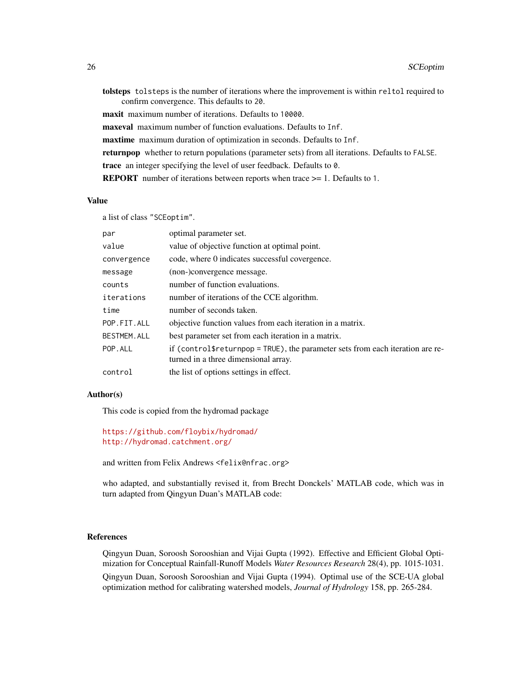tolsteps tolsteps is the number of iterations where the improvement is within reltol required to confirm convergence. This defaults to 20. maxit maximum number of iterations. Defaults to 10000. maxeval maximum number of function evaluations. Defaults to Inf. maxtime maximum duration of optimization in seconds. Defaults to Inf. returnpop whether to return populations (parameter sets) from all iterations. Defaults to FALSE. trace an integer specifying the level of user feedback. Defaults to 0. REPORT number of iterations between reports when trace >= 1. Defaults to 1.

#### Value

a list of class "SCEoptim".

| par                | optimal parameter set.                                                                                                 |
|--------------------|------------------------------------------------------------------------------------------------------------------------|
| value              | value of objective function at optimal point.                                                                          |
| convergence        | code, where 0 indicates successful covergence.                                                                         |
| message            | (non-)convergence message.                                                                                             |
| counts             | number of function evaluations.                                                                                        |
| iterations         | number of iterations of the CCE algorithm.                                                                             |
| time               | number of seconds taken.                                                                                               |
| POP.FIT.ALL        | objective function values from each iteration in a matrix.                                                             |
| <b>BESTMEM.ALL</b> | best parameter set from each iteration in a matrix.                                                                    |
| POP.ALL            | if (control freturnpop = TRUE), the parameter sets from each iteration are re-<br>turned in a three dimensional array. |
| control            | the list of options settings in effect.                                                                                |

#### Author(s)

This code is copied from the hydromad package

```
https://github.com/floybix/hydromad/
http://hydromad.catchment.org/
```

```
and written from Felix Andrews <felix@nfrac.org>
```
who adapted, and substantially revised it, from Brecht Donckels' MATLAB code, which was in turn adapted from Qingyun Duan's MATLAB code:

#### References

Qingyun Duan, Soroosh Sorooshian and Vijai Gupta (1992). Effective and Efficient Global Optimization for Conceptual Rainfall-Runoff Models *Water Resources Research* 28(4), pp. 1015-1031. Qingyun Duan, Soroosh Sorooshian and Vijai Gupta (1994). Optimal use of the SCE-UA global optimization method for calibrating watershed models, *Journal of Hydrology* 158, pp. 265-284.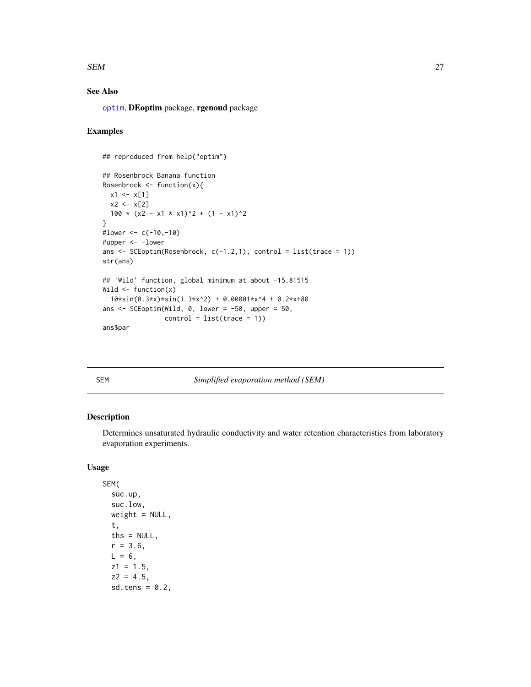#### <span id="page-26-0"></span> $SEM$  27

# See Also

[optim](#page-0-0), DEoptim package, rgenoud package

# Examples

```
## reproduced from help("optim")
## Rosenbrock Banana function
Rosenbrock \leq function(x){
  x1 \leftarrow x[1]x2 < - x[2]100 \times (x2 - x1 \times x1)^2 + (1 - x1)^2}
#lower <- c(-10,-10)#upper <- -lower
ans \leq SCEoptim(Rosenbrock, c(-1.2,1), control = list(trace = 1))
str(ans)
## 'Wild' function, global minimum at about -15.81515
Wild \leftarrow function(x)10*sin(0.3*x)*sin(1.3*x^2) + 0.00001*x^4 + 0.2*x+80
ans \le SCEoptim(Wild, 0, lower = -50, upper = 50,
                control = list(true = 1)ans$par
```
SEM *Simplified evaporation method (SEM)*

# Description

Determines unsaturated hydraulic conductivity and water retention characteristics from laboratory evaporation experiments.

# Usage

```
SEM(
  suc.up,
  suc.low,
 weight = NULL,t,
  ths = NULL,
  r = 3.6,
 L = 6,
 z1 = 1.5,
  z^2 = 4.5,
  sd.tens = 0.2,
```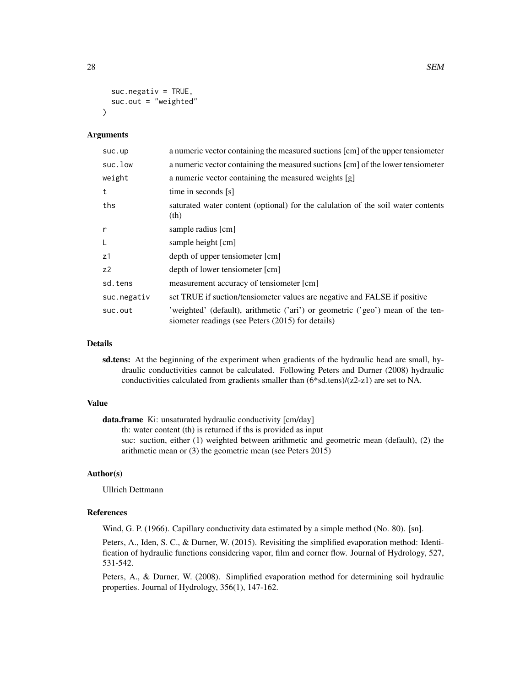```
suc.negativ = TRUE,suc.out = "weighted"
)
```
#### Arguments

| suc.up         | a numeric vector containing the measured suctions [cm] of the upper tensiometer                                                     |
|----------------|-------------------------------------------------------------------------------------------------------------------------------------|
| suc.low        | a numeric vector containing the measured suctions [cm] of the lower tensiometer                                                     |
| weight         | a numeric vector containing the measured weights [g]                                                                                |
| t              | time in seconds [s]                                                                                                                 |
| ths            | saturated water content (optional) for the calulation of the soil water contents<br>(th)                                            |
| $\mathsf{r}$   | sample radius [cm]                                                                                                                  |
| L              | sample height [cm]                                                                                                                  |
| z1             | depth of upper tensiometer [cm]                                                                                                     |
| z <sub>2</sub> | depth of lower tensiometer [cm]                                                                                                     |
| sd.tens        | measurement accuracy of tensiometer [cm]                                                                                            |
| suc.negativ    | set TRUE if suction/tensiometer values are negative and FALSE if positive                                                           |
| suc.out        | 'weighted' (default), arithmetic ('ari') or geometric ('geo') mean of the ten-<br>siometer readings (see Peters (2015) for details) |

#### Details

sd.tens: At the beginning of the experiment when gradients of the hydraulic head are small, hydraulic conductivities cannot be calculated. Following Peters and Durner (2008) hydraulic conductivities calculated from gradients smaller than (6\*sd.tens)/(z2-z1) are set to NA.

#### Value

data.frame Ki: unsaturated hydraulic conductivity [cm/day] th: water content (th) is returned if ths is provided as input suc: suction, either (1) weighted between arithmetic and geometric mean (default), (2) the arithmetic mean or (3) the geometric mean (see Peters 2015)

#### Author(s)

Ullrich Dettmann

#### References

Wind, G. P. (1966). Capillary conductivity data estimated by a simple method (No. 80). [sn].

Peters, A., Iden, S. C., & Durner, W. (2015). Revisiting the simplified evaporation method: Identification of hydraulic functions considering vapor, film and corner flow. Journal of Hydrology, 527, 531-542.

Peters, A., & Durner, W. (2008). Simplified evaporation method for determining soil hydraulic properties. Journal of Hydrology, 356(1), 147-162.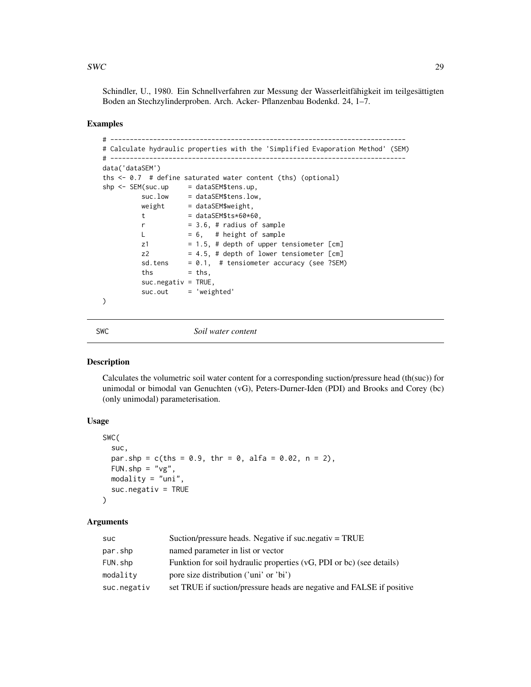#### <span id="page-28-0"></span> $SWC$  29

Schindler, U., 1980. Ein Schnellverfahren zur Messung der Wasserleitfähigkeit im teilgesättigten Boden an Stechzylinderproben. Arch. Acker- Pflanzenbau Bodenkd. 24, 1–7.

#### Examples

```
# ----------------------------------------------------------------------------
# Calculate hydraulic properties with the 'Simplified Evaporation Method' (SEM)
# ----------------------------------------------------------------------------
data('dataSEM')
ths <- 0.7 # define saturated water content (ths) (optional)
shp <- SEM(suc.up = dataSEM$tens.up,
         suc.low = dataSEM$tens.low,
        weight = dataSEM$weight,t = dataSEM$ts*60*60,r = 3.6, # radius of sample
        L = 6, # height of sample
        z1 = 1.5, # depth of upper tensiometer [cm]
        z2 = 4.5, # depth of lower tensiometer [cm]
        sd.tens = 0.1, # tensiometer accuracy (see ?SEM)
        ths = ths,suc.negativ = TRUE,
        suc.out = 'weighted'
)
```
<span id="page-28-1"></span>

SWC *Soil water content*

# Description

Calculates the volumetric soil water content for a corresponding suction/pressure head (th(suc)) for unimodal or bimodal van Genuchten (vG), Peters-Durner-Iden (PDI) and Brooks and Corey (bc) (only unimodal) parameterisation.

#### Usage

```
SWC(
  suc,
  par.shp = c(this = 0.9, thr = 0, alfa = 0.02, n = 2),
 FUN.shp = "vg",
 modality = "uni".suc.negativ = TRUE)
```
#### Arguments

| suc         | Suction/pressure heads. Negative if suc.negativ = TRUE                |
|-------------|-----------------------------------------------------------------------|
| par.shp     | named parameter in list or vector                                     |
| FUN.shp     | Funktion for soil hydraulic properties (vG, PDI or bc) (see details)  |
| modality    | pore size distribution ('uni' or 'bi')                                |
| suc.negativ | set TRUE if suction/pressure heads are negative and FALSE if positive |
|             |                                                                       |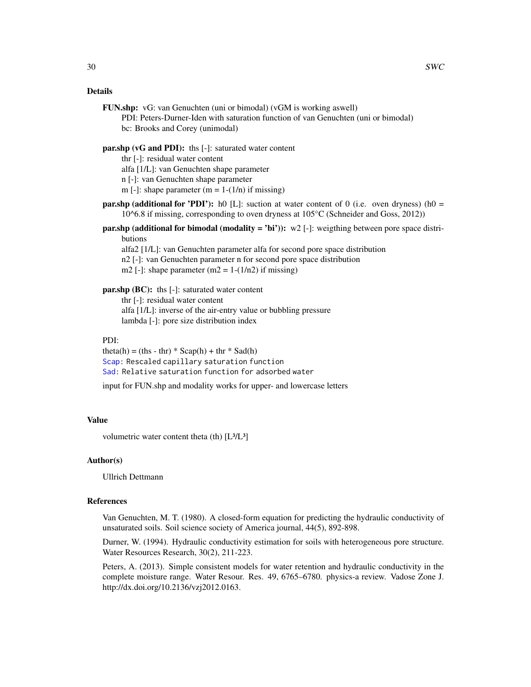#### <span id="page-29-0"></span>Details

FUN.shp: vG: van Genuchten (uni or bimodal) (vGM is working aswell)

PDI: Peters-Durner-Iden with saturation function of van Genuchten (uni or bimodal) bc: Brooks and Corey (unimodal)

#### par.shp (vG and PDI): ths [-]: saturated water content

thr [-]: residual water content

alfa [1/L]: van Genuchten shape parameter

n [-]: van Genuchten shape parameter

m [-]: shape parameter  $(m = 1-(1/n))$  if missing)

- **par.shp (additional for 'PDI'):** h0 [L]: suction at water content of 0 (i.e. oven dryness) (h0 =  $10^{\circ}6.8$  if missing, corresponding to oven dryness at  $105^{\circ}$ C (Schneider and Goss, 2012))
- **par.shp (additional for bimodal (modality = 'bi')):** w2 [-]: weigthing between pore space distributions

alfa2 [1/L]: van Genuchten parameter alfa for second pore space distribution n2 [-]: van Genuchten parameter n for second pore space distribution m2 [-]: shape parameter  $(m2 = 1-(1/n2))$  if missing)

#### par.shp (BC): ths [-]: saturated water content

thr [-]: residual water content alfa [1/L]: inverse of the air-entry value or bubbling pressure lambda [-]: pore size distribution index

#### PDI:

```
theta(h) = (ths - thr) * Scap(h) + thr * Sad(h)
Scap: Rescaled capillary saturation function
Sad: Relative saturation function for adsorbed water
```
input for FUN.shp and modality works for upper- and lowercase letters

# Value

volumetric water content theta (th)  $[L<sup>3</sup>/L<sup>3</sup>]$ 

#### Author(s)

Ullrich Dettmann

# References

Van Genuchten, M. T. (1980). A closed-form equation for predicting the hydraulic conductivity of unsaturated soils. Soil science society of America journal, 44(5), 892-898.

Durner, W. (1994). Hydraulic conductivity estimation for soils with heterogeneous pore structure. Water Resources Research, 30(2), 211-223.

Peters, A. (2013). Simple consistent models for water retention and hydraulic conductivity in the complete moisture range. Water Resour. Res. 49, 6765–6780. physics-a review. Vadose Zone J. http://dx.doi.org/10.2136/vzj2012.0163.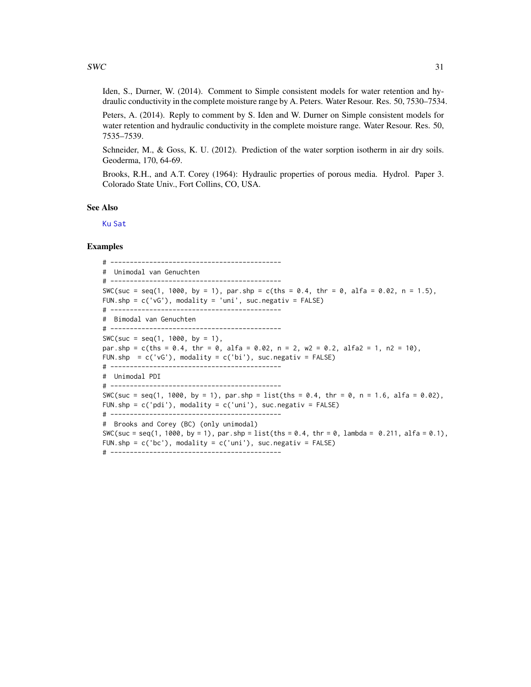<span id="page-30-0"></span>Iden, S., Durner, W. (2014). Comment to Simple consistent models for water retention and hydraulic conductivity in the complete moisture range by A. Peters. Water Resour. Res. 50, 7530–7534.

Peters, A. (2014). Reply to comment by S. Iden and W. Durner on Simple consistent models for water retention and hydraulic conductivity in the complete moisture range. Water Resour. Res. 50, 7535–7539.

Schneider, M., & Goss, K. U. (2012). Prediction of the water sorption isotherm in air dry soils. Geoderma, 170, 64-69.

Brooks, R.H., and A.T. Corey (1964): Hydraulic properties of porous media. Hydrol. Paper 3. Colorado State Univ., Fort Collins, CO, USA.

#### See Also

[Ku](#page-13-1) [Sat](#page-21-1)

#### Examples

# -------------------------------------------- # Unimodal van Genuchten # -------------------------------------------- SWC(suc = seq(1, 1000, by = 1), par.shp = c(ths = 0.4, thr = 0, alfa = 0.02, n = 1.5), FUN.shp = c('vG'), modality = 'uni', suc.negativ = FALSE) # -------------------------------------------- # Bimodal van Genuchten # --------------------------------------------  $SWC(suc = seq(1, 1000, by = 1),$ par.shp = c(ths = 0.4, thr = 0, alfa = 0.02, n = 2, w2 = 0.2, alfa2 = 1, n2 = 10), FUN.shp =  $c('vG')$ , modality =  $c('bi')$ , suc.negativ = FALSE) # -------------------------------------------- # Unimodal PDI # -------------------------------------------- SWC(suc = seq(1, 1000, by = 1), par.shp = list(ths = 0.4, thr = 0, n = 1.6, alfa = 0.02), FUN.shp =  $c('pdi')$ , modality =  $c('uni')$ , suc.negativ = FALSE) # -------------------------------------------- # Brooks and Corey (BC) (only unimodal) SWC(suc = seq(1, 1000, by = 1), par.shp = list(ths = 0.4, thr = 0, lambda = 0.211, alfa = 0.1), FUN.shp = c('bc'), modality = c('uni'), suc.negativ = FALSE) # --------------------------------------------